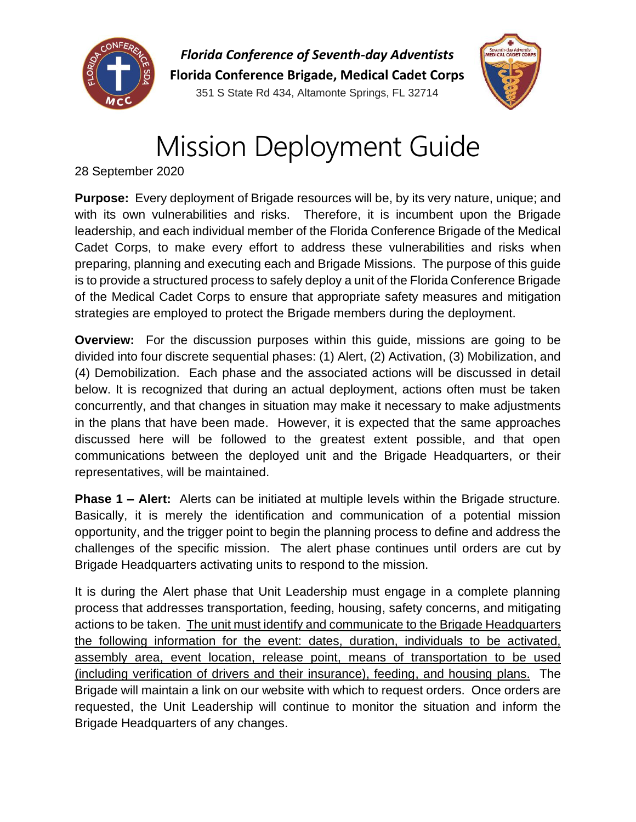

*Florida Conference of Seventh-day Adventists* **Florida Conference Brigade, Medical Cadet Corps** 351 S State Rd 434, Altamonte Springs, FL 32714



# Mission Deployment Guide

28 September 2020

**Purpose:** Every deployment of Brigade resources will be, by its very nature, unique; and with its own vulnerabilities and risks. Therefore, it is incumbent upon the Brigade leadership, and each individual member of the Florida Conference Brigade of the Medical Cadet Corps, to make every effort to address these vulnerabilities and risks when preparing, planning and executing each and Brigade Missions. The purpose of this guide is to provide a structured process to safely deploy a unit of the Florida Conference Brigade of the Medical Cadet Corps to ensure that appropriate safety measures and mitigation strategies are employed to protect the Brigade members during the deployment.

**Overview:** For the discussion purposes within this guide, missions are going to be divided into four discrete sequential phases: (1) Alert, (2) Activation, (3) Mobilization, and (4) Demobilization. Each phase and the associated actions will be discussed in detail below. It is recognized that during an actual deployment, actions often must be taken concurrently, and that changes in situation may make it necessary to make adjustments in the plans that have been made. However, it is expected that the same approaches discussed here will be followed to the greatest extent possible, and that open communications between the deployed unit and the Brigade Headquarters, or their representatives, will be maintained.

**Phase 1 – Alert:** Alerts can be initiated at multiple levels within the Brigade structure. Basically, it is merely the identification and communication of a potential mission opportunity, and the trigger point to begin the planning process to define and address the challenges of the specific mission. The alert phase continues until orders are cut by Brigade Headquarters activating units to respond to the mission.

It is during the Alert phase that Unit Leadership must engage in a complete planning process that addresses transportation, feeding, housing, safety concerns, and mitigating actions to be taken. The unit must identify and communicate to the Brigade Headquarters the following information for the event: dates, duration, individuals to be activated, assembly area, event location, release point, means of transportation to be used (including verification of drivers and their insurance), feeding, and housing plans. The Brigade will maintain a link on our website with which to request orders. Once orders are requested, the Unit Leadership will continue to monitor the situation and inform the Brigade Headquarters of any changes.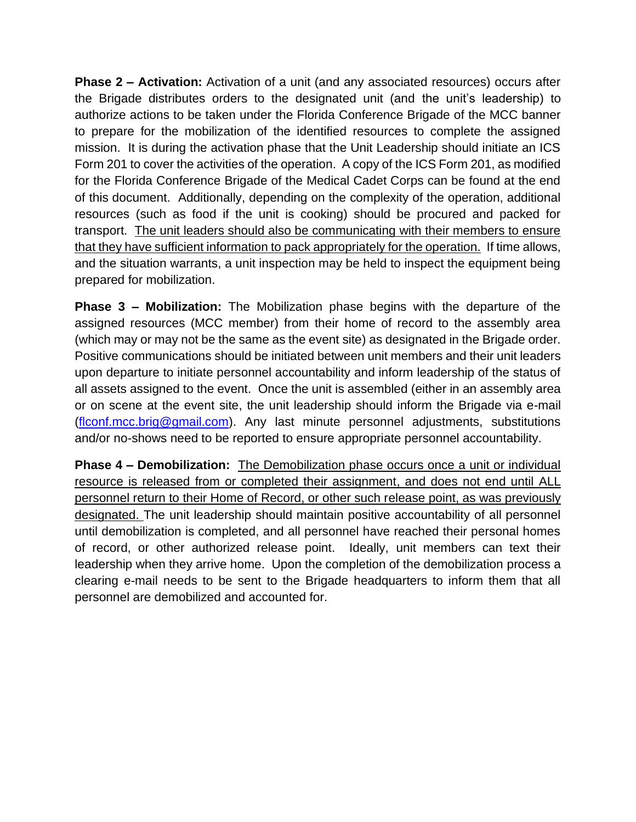**Phase 2 – Activation:** Activation of a unit (and any associated resources) occurs after the Brigade distributes orders to the designated unit (and the unit's leadership) to authorize actions to be taken under the Florida Conference Brigade of the MCC banner to prepare for the mobilization of the identified resources to complete the assigned mission. It is during the activation phase that the Unit Leadership should initiate an ICS Form 201 to cover the activities of the operation. A copy of the ICS Form 201, as modified for the Florida Conference Brigade of the Medical Cadet Corps can be found at the end of this document. Additionally, depending on the complexity of the operation, additional resources (such as food if the unit is cooking) should be procured and packed for transport. The unit leaders should also be communicating with their members to ensure that they have sufficient information to pack appropriately for the operation. If time allows, and the situation warrants, a unit inspection may be held to inspect the equipment being prepared for mobilization.

**Phase 3 – Mobilization:** The Mobilization phase begins with the departure of the assigned resources (MCC member) from their home of record to the assembly area (which may or may not be the same as the event site) as designated in the Brigade order. Positive communications should be initiated between unit members and their unit leaders upon departure to initiate personnel accountability and inform leadership of the status of all assets assigned to the event. Once the unit is assembled (either in an assembly area or on scene at the event site, the unit leadership should inform the Brigade via e-mail [\(flconf.mcc.brig@gmail.com\)](mailto:flconf.mcc.brig@gmail.com). Any last minute personnel adjustments, substitutions and/or no-shows need to be reported to ensure appropriate personnel accountability.

**Phase 4 – Demobilization:** The Demobilization phase occurs once a unit or individual resource is released from or completed their assignment, and does not end until ALL personnel return to their Home of Record, or other such release point, as was previously designated. The unit leadership should maintain positive accountability of all personnel until demobilization is completed, and all personnel have reached their personal homes of record, or other authorized release point. Ideally, unit members can text their leadership when they arrive home. Upon the completion of the demobilization process a clearing e-mail needs to be sent to the Brigade headquarters to inform them that all personnel are demobilized and accounted for.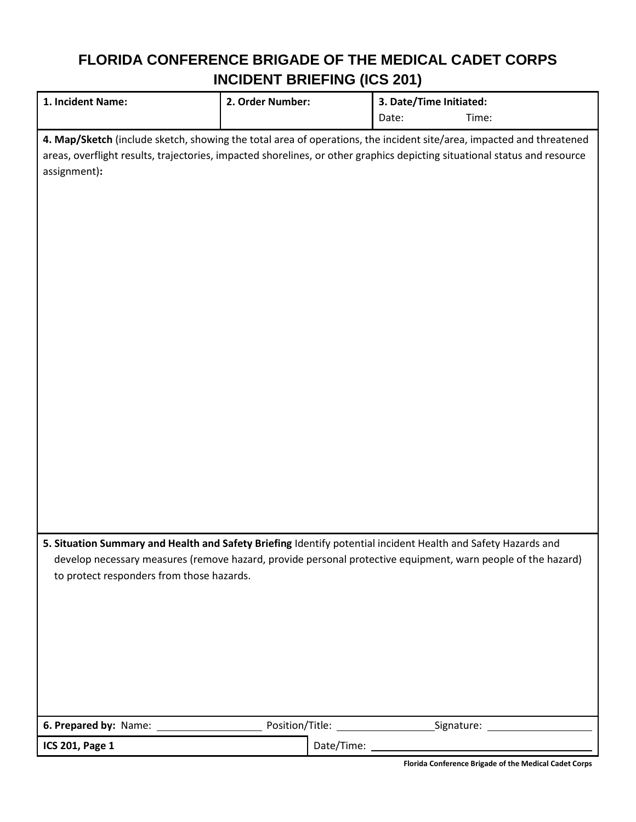#### **FLORIDA CONFERENCE BRIGADE OF THE MEDICAL CADET CORPS INCIDENT BRIEFING (ICS 201)**

| 1. Incident Name:                                                                                                                                                                                                                                                          | 2. Order Number: |              | 3. Date/Time Initiated: |       |  |
|----------------------------------------------------------------------------------------------------------------------------------------------------------------------------------------------------------------------------------------------------------------------------|------------------|--------------|-------------------------|-------|--|
|                                                                                                                                                                                                                                                                            |                  |              | Date:                   | Time: |  |
| 4. Map/Sketch (include sketch, showing the total area of operations, the incident site/area, impacted and threatened<br>areas, overflight results, trajectories, impacted shorelines, or other graphics depicting situational status and resource<br>assignment):          |                  |              |                         |       |  |
| 5. Situation Summary and Health and Safety Briefing Identify potential incident Health and Safety Hazards and<br>develop necessary measures (remove hazard, provide personal protective equipment, warn people of the hazard)<br>to protect responders from those hazards. |                  |              |                         |       |  |
|                                                                                                                                                                                                                                                                            |                  |              |                         |       |  |
| ICS 201, Page 1                                                                                                                                                                                                                                                            |                  | Date/Time: _ |                         |       |  |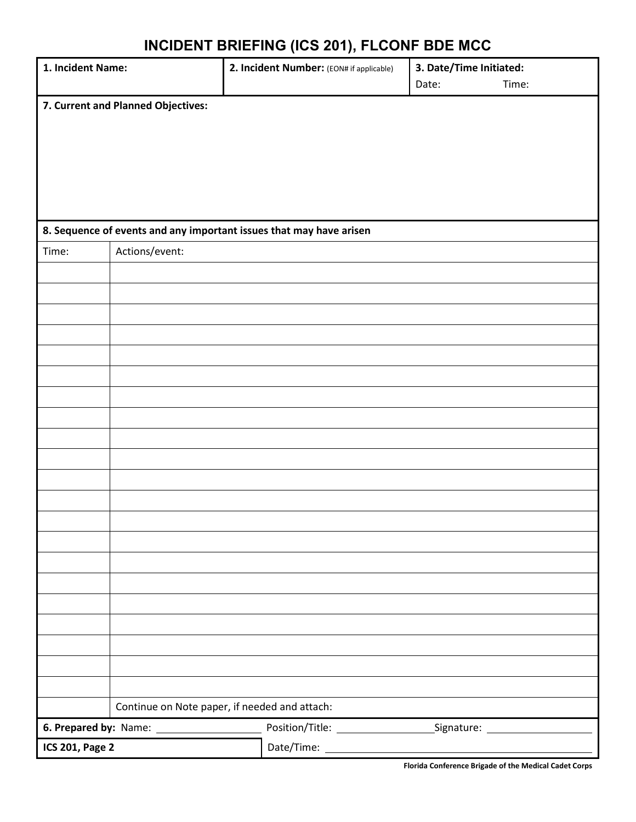## **INCIDENT BRIEFING (ICS 201), FLCONF BDE MCC**

| 1. Incident Name:      |                                                                     | 2. Incident Number: (EON# if applicable) | 3. Date/Time Initiated: |                |  |  |
|------------------------|---------------------------------------------------------------------|------------------------------------------|-------------------------|----------------|--|--|
|                        |                                                                     |                                          |                         | Time:<br>Date: |  |  |
|                        | 7. Current and Planned Objectives:                                  |                                          |                         |                |  |  |
|                        |                                                                     |                                          |                         |                |  |  |
|                        |                                                                     |                                          |                         |                |  |  |
|                        |                                                                     |                                          |                         |                |  |  |
|                        |                                                                     |                                          |                         |                |  |  |
|                        |                                                                     |                                          |                         |                |  |  |
|                        | 8. Sequence of events and any important issues that may have arisen |                                          |                         |                |  |  |
| Time:                  | Actions/event:                                                      |                                          |                         |                |  |  |
|                        |                                                                     |                                          |                         |                |  |  |
|                        |                                                                     |                                          |                         |                |  |  |
|                        |                                                                     |                                          |                         |                |  |  |
|                        |                                                                     |                                          |                         |                |  |  |
|                        |                                                                     |                                          |                         |                |  |  |
|                        |                                                                     |                                          |                         |                |  |  |
|                        |                                                                     |                                          |                         |                |  |  |
|                        |                                                                     |                                          |                         |                |  |  |
|                        |                                                                     |                                          |                         |                |  |  |
|                        |                                                                     |                                          |                         |                |  |  |
|                        |                                                                     |                                          |                         |                |  |  |
|                        |                                                                     |                                          |                         |                |  |  |
|                        |                                                                     |                                          |                         |                |  |  |
|                        |                                                                     |                                          |                         |                |  |  |
|                        |                                                                     |                                          |                         |                |  |  |
|                        |                                                                     |                                          |                         |                |  |  |
|                        |                                                                     |                                          |                         |                |  |  |
|                        |                                                                     |                                          |                         |                |  |  |
|                        |                                                                     |                                          |                         |                |  |  |
|                        |                                                                     |                                          |                         |                |  |  |
|                        |                                                                     |                                          |                         |                |  |  |
|                        | Continue on Note paper, if needed and attach:                       |                                          |                         |                |  |  |
|                        |                                                                     |                                          |                         |                |  |  |
| <b>ICS 201, Page 2</b> |                                                                     |                                          |                         |                |  |  |

**Florida Conference Brigade of the Medical Cadet Corps**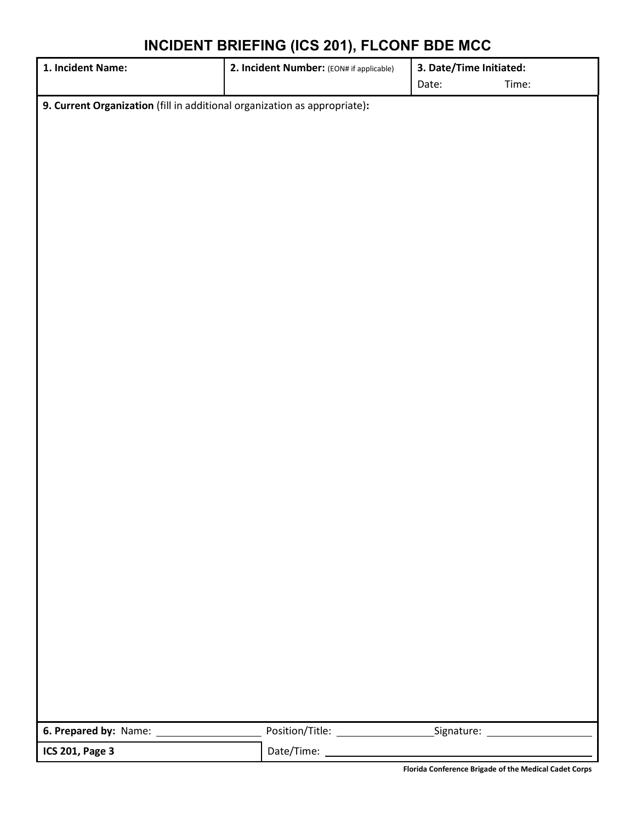#### **INCIDENT BRIEFING (ICS 201), FLCONF BDE MCC**

| 1. Incident Name:                                                         | 2. Incident Number: (EON# if applicable)<br>3. Date/Time Initiated: |                |
|---------------------------------------------------------------------------|---------------------------------------------------------------------|----------------|
|                                                                           |                                                                     | Date:<br>Time: |
| 9. Current Organization (fill in additional organization as appropriate): |                                                                     |                |
|                                                                           |                                                                     |                |
|                                                                           |                                                                     |                |
|                                                                           |                                                                     |                |
|                                                                           |                                                                     |                |
|                                                                           |                                                                     |                |
|                                                                           |                                                                     |                |
|                                                                           |                                                                     |                |
|                                                                           |                                                                     |                |
|                                                                           |                                                                     |                |
|                                                                           |                                                                     |                |
|                                                                           |                                                                     |                |
|                                                                           |                                                                     |                |
|                                                                           |                                                                     |                |
|                                                                           |                                                                     |                |
|                                                                           |                                                                     |                |
|                                                                           |                                                                     |                |
|                                                                           |                                                                     |                |
|                                                                           |                                                                     |                |
|                                                                           |                                                                     |                |
|                                                                           |                                                                     |                |
|                                                                           |                                                                     |                |
|                                                                           |                                                                     |                |
|                                                                           |                                                                     |                |
|                                                                           |                                                                     |                |
|                                                                           |                                                                     |                |
|                                                                           |                                                                     |                |
|                                                                           |                                                                     |                |
|                                                                           |                                                                     |                |
|                                                                           |                                                                     |                |
|                                                                           |                                                                     |                |
|                                                                           |                                                                     |                |
|                                                                           |                                                                     |                |
| 6. Prepared by: Name:                                                     |                                                                     |                |
| ICS 201, Page 3                                                           |                                                                     |                |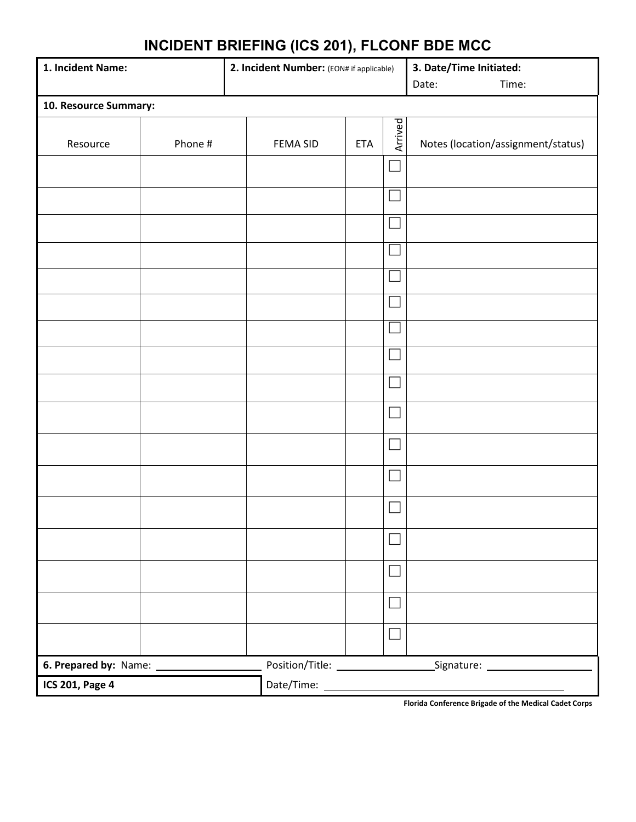## **INCIDENT BRIEFING (ICS 201), FLCONF BDE MCC**

| 1. Incident Name:      |         | 2. Incident Number: (EON# if applicable) |                 | 3. Date/Time Initiated:<br>Time:<br>Date: |                             |                                    |
|------------------------|---------|------------------------------------------|-----------------|-------------------------------------------|-----------------------------|------------------------------------|
| 10. Resource Summary:  |         |                                          |                 |                                           |                             |                                    |
| Resource               | Phone # |                                          | <b>FEMA SID</b> | <b>ETA</b>                                | Arrived                     | Notes (location/assignment/status) |
|                        |         |                                          |                 |                                           | $\Box$                      |                                    |
|                        |         |                                          |                 |                                           |                             |                                    |
|                        |         |                                          |                 |                                           | $\Box$                      |                                    |
|                        |         |                                          |                 |                                           | H                           |                                    |
|                        |         |                                          |                 |                                           | $\mathbb{R}^n$              |                                    |
|                        |         |                                          |                 |                                           | $\mathcal{L}_{\mathcal{A}}$ |                                    |
|                        |         |                                          |                 |                                           | $\mathbb{R}^n$              |                                    |
|                        |         |                                          |                 |                                           |                             |                                    |
|                        |         |                                          |                 |                                           | a a                         |                                    |
|                        |         |                                          |                 |                                           | $\Box$                      |                                    |
|                        |         |                                          |                 |                                           | $\overline{\phantom{0}}$    |                                    |
|                        |         |                                          |                 |                                           |                             |                                    |
|                        |         |                                          |                 |                                           |                             |                                    |
|                        |         |                                          |                 |                                           | $\Box$                      |                                    |
|                        |         |                                          |                 |                                           | $\Box$                      |                                    |
|                        |         |                                          |                 |                                           | $\Box$                      |                                    |
|                        |         |                                          |                 |                                           | $\Box$                      |                                    |
|                        |         |                                          |                 |                                           |                             |                                    |
| <b>ICS 201, Page 4</b> |         |                                          |                 |                                           |                             |                                    |

**Florida Conference Brigade of the Medical Cadet Corps**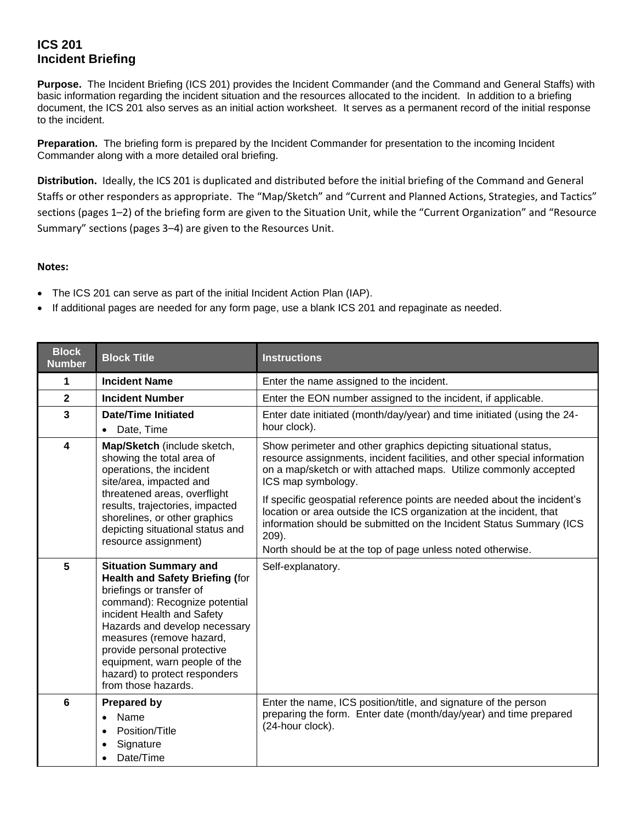#### **ICS 201 Incident Briefing**

**Purpose.** The Incident Briefing (ICS 201) provides the Incident Commander (and the Command and General Staffs) with basic information regarding the incident situation and the resources allocated to the incident. In addition to a briefing document, the ICS 201 also serves as an initial action worksheet. It serves as a permanent record of the initial response to the incident.

**Preparation.** The briefing form is prepared by the Incident Commander for presentation to the incoming Incident Commander along with a more detailed oral briefing.

**Distribution.** Ideally, the ICS 201 is duplicated and distributed before the initial briefing of the Command and General Staffs or other responders as appropriate. The "Map/Sketch" and "Current and Planned Actions, Strategies, and Tactics" sections (pages 1–2) of the briefing form are given to the Situation Unit, while the "Current Organization" and "Resource Summary" sections (pages 3–4) are given to the Resources Unit.

#### **Notes:**

- The ICS 201 can serve as part of the initial Incident Action Plan (IAP).
- If additional pages are needed for any form page, use a blank ICS 201 and repaginate as needed.

| <b>Block</b><br><b>Number</b> | <b>Block Title</b>                                                                                                                                                                                                                                                                                                                                     | <b>Instructions</b>                                                                                                                                                                                                                                                                                                                                                                                                                                                                                                                   |
|-------------------------------|--------------------------------------------------------------------------------------------------------------------------------------------------------------------------------------------------------------------------------------------------------------------------------------------------------------------------------------------------------|---------------------------------------------------------------------------------------------------------------------------------------------------------------------------------------------------------------------------------------------------------------------------------------------------------------------------------------------------------------------------------------------------------------------------------------------------------------------------------------------------------------------------------------|
| 1                             | <b>Incident Name</b>                                                                                                                                                                                                                                                                                                                                   | Enter the name assigned to the incident.                                                                                                                                                                                                                                                                                                                                                                                                                                                                                              |
| $\mathbf{2}$                  | <b>Incident Number</b>                                                                                                                                                                                                                                                                                                                                 | Enter the EON number assigned to the incident, if applicable.                                                                                                                                                                                                                                                                                                                                                                                                                                                                         |
| $\mathbf{3}$                  | <b>Date/Time Initiated</b><br>Date, Time<br>$\bullet$                                                                                                                                                                                                                                                                                                  | Enter date initiated (month/day/year) and time initiated (using the 24-<br>hour clock).                                                                                                                                                                                                                                                                                                                                                                                                                                               |
| $\boldsymbol{4}$              | Map/Sketch (include sketch,<br>showing the total area of<br>operations, the incident<br>site/area, impacted and<br>threatened areas, overflight<br>results, trajectories, impacted<br>shorelines, or other graphics<br>depicting situational status and<br>resource assignment)                                                                        | Show perimeter and other graphics depicting situational status,<br>resource assignments, incident facilities, and other special information<br>on a map/sketch or with attached maps. Utilize commonly accepted<br>ICS map symbology.<br>If specific geospatial reference points are needed about the incident's<br>location or area outside the ICS organization at the incident, that<br>information should be submitted on the Incident Status Summary (ICS<br>209).<br>North should be at the top of page unless noted otherwise. |
| 5                             | <b>Situation Summary and</b><br><b>Health and Safety Briefing (for</b><br>briefings or transfer of<br>command): Recognize potential<br>incident Health and Safety<br>Hazards and develop necessary<br>measures (remove hazard,<br>provide personal protective<br>equipment, warn people of the<br>hazard) to protect responders<br>from those hazards. | Self-explanatory.                                                                                                                                                                                                                                                                                                                                                                                                                                                                                                                     |
| 6                             | <b>Prepared by</b><br>Name<br>$\bullet$<br>Position/Title<br>$\bullet$<br>Signature<br>$\bullet$<br>Date/Time                                                                                                                                                                                                                                          | Enter the name, ICS position/title, and signature of the person<br>preparing the form. Enter date (month/day/year) and time prepared<br>(24-hour clock).                                                                                                                                                                                                                                                                                                                                                                              |